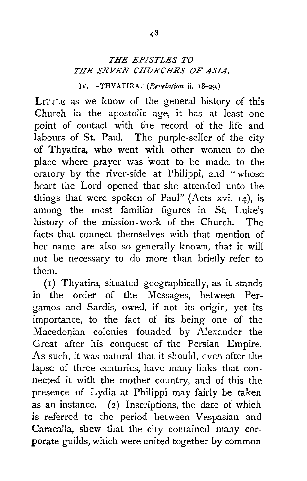## *THE EPISTLES TO THE SEVEN CHURCHES OF ASIA.*

IV.-THYATIRA. (Revelation *ii.* 18-29.)

LITTLE as we know of the general history of this Church in the apostolic age, it has at least one point of contact with the record of the life and labours of St. Paul. The purple-seller of the city of Thyatira, who went with other women to the place where prayer was wont to be made, to the oratory by the river-side at Philippi, and "whose heart the Lord opened that she attended unto the things that were spoken of Paul" (Acts xvi.  $14$ ), is among the most familiar figures in St. Luke's history of the mission-work of the Church. The facts that connect themselves with that mention of her name are also so generally known, that it will not be necessary to do more than briefly refer to them.

(I) Thyatira, situated geographically, as it stands in the order of the Messages, between Pergamos and Sardis, owed, if not its origin, yet its importance, to the fact of its being one of the Macedonian colonies founded by Alexander the Great after his conquest of the Persian Empire. As such, it was natural that it should, even after the lapse of three centuries, have many links that connected it with the mother country, and of this the presence of Lydia at Philippi may fairly be taken as an instance. (2) Inscriptions, the date of which is referred to the period between Vespasian and Caracalla, shew that the city contained many corporate guilds, which were united together by common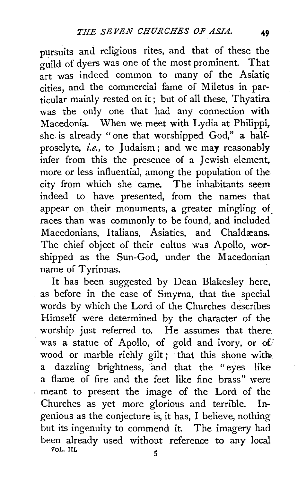pursuits and religious rites, and that of these the guild of dyers was one of the most prominent. That art was indeed common to many of the Asiatic cities, and the commercial fame of Miletus in particular mainly rested on it; but of all these, Thyatira was the only one that had any connection with Macedonia. When we meet with Lydia at Philippi, she is already "one that worshipped God," a halfproselyte, *i.e.*, to Judaism; and we may reasonably infer from this the presence of a Jewish element, more or less influential, among the population of the city from which she came. The inhabitants seem indeed to have presented, from the names that appear on their monuments, a greater mingling of races than was commonly to be found, and included Macedonians, Italians, Asiatics, and Chaldæans. The chief object of their cultus was Apollo, worshipped as the Sun-God, under the Macedonian name of Tyrinnas.

It has been suggested by Dean Blakesley here, as before in the case of Smyrna, that the special words by which the Lord of the Churches describes Himself were determined by the character of the worship just referred to. He assumes that there. was a statue of Apollo, of gold and ivory, or of wood or marble richly gilt; that this shone with a dazzling brightness, and that the "eyes like a flame of fire and the feet like fine brass" were meant to present the image of the Lord of the Churches as yet more glorious and terrible. Ingenious as the conjecture is, it has, I believe, nothing but its ingenuity to commend it. The imagery had been already used without reference to any local  $\sqrt{6}$  vol. III.  $\sqrt{5}$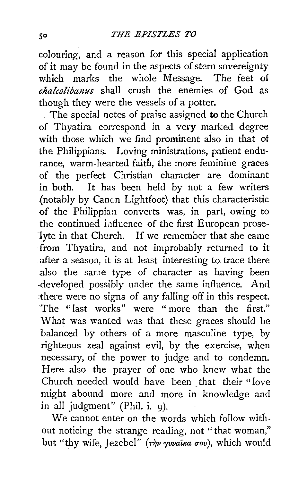colouring, and a reason for this special application of it may be found in the aspects of stern sovereignty which marks the whole Message. The feet of *chalcoliba1zus* shall crush the enemies of God as though they were the vessels of a potter.

The special notes of praise assigned to the Church of Thyatira correspond in a very marked degree with those which we find prominent also in that of the Philippians. Loving ministrations, patient endurance, warm-hearted faith, the more feminine graces of the perfect Christian character are dominant in both. It has been held by not a few writers (notably by Canon Lightfoot) that this characteristic of the Philippian converts was, in part, owing to the continued influence of the first European proselyte in that Church. If we remember that she came from Thyatira, and not improbably returned to it after a season, it is at least interesting to trace there also the same type of character as having been -developed possibly under the same influence. And ·there were no signs of any falling off in this respect. ·The " last works" were " more than the first." What was wanted was that these graces should be balanced by others of a more masculine type, by righteous zeal against evil, by the exercise, when necessary, of the power to judge and to condemn. Here also the prayer of one who knew what the Church needed would have been that their "love might abound more and more in knowledge and in all judgment" (Phil. i. 9).

We cannot enter on the words which follow without noticing the strange reading, not " that woman," but "thy wife, Jezebel" ( $\tau \gamma \nu \gamma \nu$ *quvaîka σου*), which would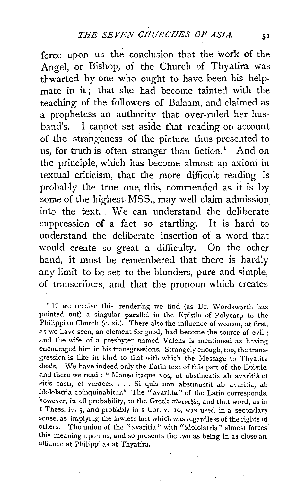force upon us the conclusion that the work of the Angel, or Bishop, of the Church of Thyatira was thwarted by one who ought to have been his helpmate in it: that she had become tainted with the teaching of the followers of Balaam, and claimed as a prophetess an authority that over-ruled her husband's. I cannot set aside that reading on account of .the strangeness of the picture thus presented to us, for truth is often stranger than fiction.<sup>1</sup> And on the principle, which has become almost an axiom in textual criticism, that the more difficult reading is probably the true one, this, commended as it is by some of the highest MSS., may well claim admission into the text. . We can understand the deliberate suppression of a fact so startling. It is hard to understand the deliberate insertion of a word that would create so great a difficulty. On the other hand, it must be remembered that there is hardly any limit to be set to the blunders, pure and simple, of transcribers, and that the pronoun which creates

'If we receive this rendering we find (as Dr. Wordsworth has pointed out) a singular parallel in the Epistle of Polycarp to the Philippian Church (c. xi.). There also the influence of women, at first, as we have seen, an element for good, had become the source of evil ; and the wife of a presbyter named Valens is mentioned as having encouraged him in his transgressions. Strangely enough, too, the trans· gression is like in kind to that with which the Message to Thyatira deals. We have indeed only the Latin text of this part of the Epistle, and there we read : " Moneo itaque vos, ut abstineatis ab avaritia et sitis casti, et veraces. . . . Si quis non abstinuerit ab avaritia, ab idololatria coinquinabitur." The "avaritia" of the Latin corresponds, however, in all probability, to the Greek  $\pi\lambda\epsilon_0\nu\epsilon\mu\epsilon_0$ , and that word, as in I Thess. iv. 5, and probably in I Cor. v. 10, was used in a secondary sense, as implying the lawless lust which was regardless of the rights of others. The union of the "avaritia" with "idololatria" almost forces this meaning upon us, and so presents the two as being in as close an alliance at Philippi as at Thyatira.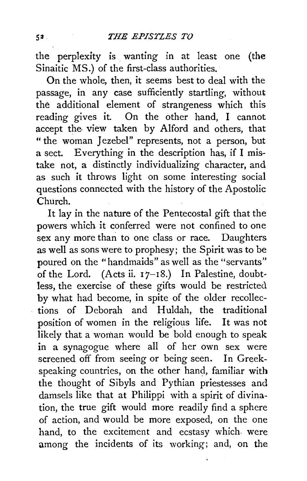the perplexity is wanting in at least one (the Sinaitic MS.) of the first-class authorities.

On the whole, then, it seems best to deal with the passage, in any case sufficiently startling, without the additional element of strangeness which this reading gives it. On the other hand, I cannot accept the view taken by Alford and others, that "the woman Jezebel" represents, not a person, but a sect. Everything in the description has, if I mistake not, a distinctly individualizing character, and as such it throws light on some interesting social questions connected with the history of the Apostolic Church.

It lay in the nature of the Pentecostal gift that the powers which it conferred were not confined to one sex any more than to one class or race. Daughters as well as sons were to prophesy; the Spirit was to be poured on the "handmaids" as well as the "servants" of the Lord. (Acts ii.  $17-18$ .) In Palestine, doubtless, the exercise of these gifts would be restricted by what had become, in spite of the older recollections of Deborah and Huldah, the traditional position of women in the religious life. It was not likely that a woman would be bold enough to speak in a synagogue where all of her own sex were screened off from seeing or being seen. In Greekspeaking countries, on the other hand, familiar with the thought of Sibyls and Pythian priestesses and damsels like that at Philippi with a spirit of divination, the true gift would more readily find a sphere of action, and would be more exposed, on the one hand, to the excitement and ecstasy which. were among the incidents of its working; and, on the

 $52.$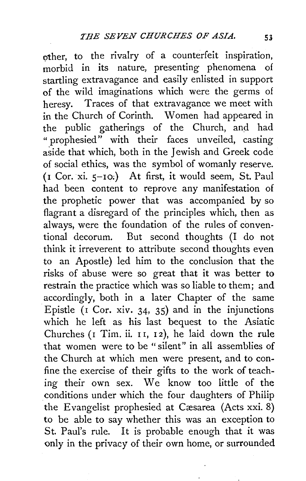other, to the rivalry of a counterfeit inspiration, morbid in its nature, presenting phenomena of startling extravagance and easily enlisted in support of the wild imaginations which were the germs of heresy. Traces of that extravagance we meet with in the Church of Corinth. Women had appeared in the public gatherings of the Church, and had " prophesied" with their faces unveiled, casting aside that which, both in the Jewish and Greek code of social ethics, was the symbol of womanly reserve. (I Cor. xi. S-IO;) At first, it would seem, St. Paul had been content to reprove any manifestation of the prophetic power that was accompanied by so flagrant a disregard of the principles which, then as always, were the foundation of the rules of conventional decorum. But second thoughts (I do not think it irreverent to attribute second thoughts even to an Apostle) led him to the conclusion that the risks of abuse were so great that it was better to restrain the practice which was so liable to them; and accordingly, both in a later Chapter of the same Epistle ( $\overline{1}$  Cor. xiv. 34, 35) and in the injunctions which he left as his last bequest to the Asiatic Churches (I Tim. ii. II, I2), he laid down the rule that women were to be "silent" in all assemblies of the Church at which men were present, and to confine the exercise of their gifts to the work of teaching their own sex. We know too little of the conditions under which the four daughters of Philip the Evangelist prophesied at Cæsarea (Acts xxi. 8) to be able to say whether this was an exception to St. Paul's rule. It is probable enough that it was only in the privacy of their own home, or surrounded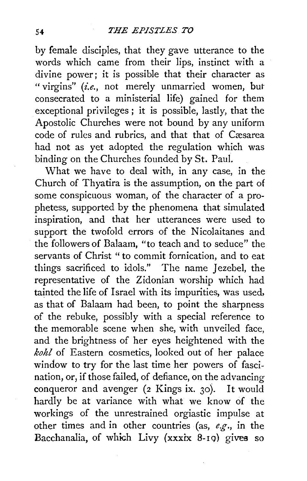by female disciples, that they gave utterance to the words which came from their lips, instinct with a divine power; it is possible that their character as "virgins" (i.e., not merely unmarried women, but consecrated to a ministerial life) gained for them exceptional privileges ; it is possible, lastly, that the Apostolic Churches were not bound by any uniform code of rules and rubrics, and that that of Cæsarea had not as yet adopted the regulation which was binding on the Churches founded by St. Paul.

What we have to deal with, in any case, in the Church of Thyatira is the assumption, on the part of some conspicuous woman, of the character of a prophetess, supported by the phenomena that simulated inspiration, and that her utterances were used to support the twofold errors of the Nicolaitanes and the followers of Balaam, "to teach and *to* seduce" the servants of Christ " to commit fornication, and to eat things sacrificed to idols." The name Jezebel, the representative of the Zidonian worship which had tainted the life of Israel with its impurities, was used, as that of Balaam had been, to point the sharpness of the rebuke, possibly with a special reference to the memorable scene when she, with unveiled face, and the brightness of her eyes heightened with the *kohl* of Eastern cosmetics, looked out of her palace window to try for the last time her powers of fascination, or, if those failed, of defiance, on the advancing conqueror and avenger (2 Kings ix. 30). It would hardly be at variance with what we know of the workings of the unrestrained orgiastic impulse at other times and in other countries (as, *e.g.,* in the Bacchanalia, of which Livy (xxxix 8-Iq) gives so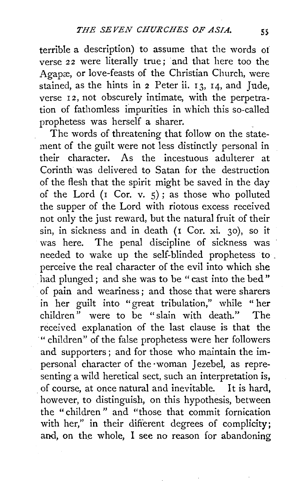terrible a description) to assume that the words of verse 22 were literally true; and that here too the Agapæ, or love-feasts of the Christian Church, were stained, as the hints in  $2$  Peter ii.  $13$ ,  $14$ , and Jude, verse 12, not obscurely intimate, with the perpetration of fathomless impurities in which this so-called prophetess was herself a sharer. \_

The words of threatening that follow on the statement of the guilt were not less distinctly personal in their character. As the incestuous adulterer at Corinth was delivered to Satan for the destruction of the flesh that the spirit might be saved in the day of the Lord ( $\sigma$  Cor.  $\sigma$ ,  $\sigma$ ); as those who polluted the supper of the Lord with riotous excess received not only the just reward, but the natural fruit of their sin, in sickness and in death (r Cor. xi. 30), so it was here. The penal discipline of sickness was needed to wake up the self-blinded prophetess to \_ perceive the real character of the evil into which she had plunged; and she was to be "cast into the bed" of pain and weariness ; and those that were sharers in her guilt into "great tribulation," while " her children" were to be "slain with death." The received explanation of the last clause is that the ·"children" of the false prophetess were her followers and supporters ; and for those who maintain the impersonal character of the ·woman Jezebel, as representing a wild heretical sect, such an interpretation is, . of course, at once natural and inevitable. It is hard, however, to distinguish, on this hypothesis, between the "children" and "those that commit fornication with her," in their different degrees of complicity; and, on the whole, I see no reason for abandoning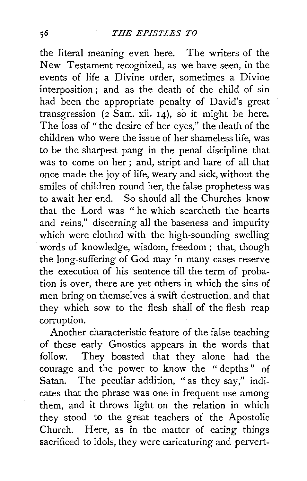the literal meaning even here. The writers of the New Testament recognized, as we have seen, in the events of life a Divine order, sometimes a Divine interposition ; and as the death of the child of sin had been the appropriate penalty of David's great transgression  $(2 \text{ Sam. xii. } 14)$ , so it might be here. The loss of "the desire of her eyes," the death of the children who were the issue of her shameless life, was to be the sharpest pang in the penal discipline that was to come on her ; and, stript and bare of all that once made the joy of life, weary and sick, without the smiles of children round her, the false prophetess was to await her end. So should all the Churches know that the Lord was " he which searcheth the hearts and reins," discerning all the baseness and impurity which were clothed with the high-sounding swelling words of knowledge, wisdom, freedom ; that, though the long-suffering of God may in many cases reserve the execution of his sentence till the term of probation is over, there are yet others in which the sins of men bring on themselves a swift destruction, and that they which sow to the flesh shall of the flesh reap corruption.

Another characteristic feature of the false teaching of these early Gnostics appears in the words that follow. They boasted that they alone had the courage and the power to know the " depths " of Satan. The peculiar addition, " as they say," indicates that the phrase was one in frequent use among them, and it throws light on the relation in which they stood to the great teachers of the Apostolic Church. Here, as in the matter of eating things sacrificed to idols, they were caricaturing and pervert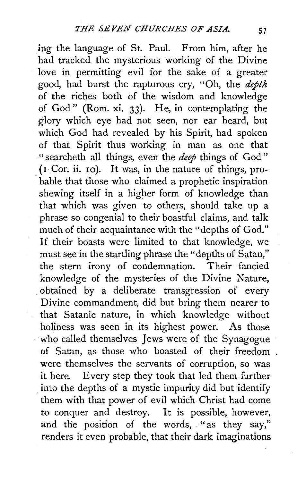ing the language of St. Paul. From him, after he had tracked the mysterious working of the Divine love in permitting evil for the sake of a greater good, had burst the rapturous cry, "Oh, the *depth*  of the riches both of the wisdom and knowledge of God " (Rom. xi. 33). He, in contemplating the glory which eye had not seen, nor ear heard, but which God had revealed by his Spirit, had spoken of that Spirit thus working in man as one that "searcheth all things, even the *deep* things of God "  $($ I Cor. ii. 10 $)$ . It was, in the nature of things, probable that those who claimed a prophetic inspiration shewing itself in a higher form of knowledge than that which was given to others, should take up a phrase so congenial to their boastful claims, and talk much of their acquaintance with the "depths of God." If their boasts were limited to that knowledge, we must see in the startling phrase the "depths of Satan," the stern irony of condemnation. Their fancied knowledge of the mysteries of the Divine Nature, obtained by a deliberate transgression of every Divine commandment, did but bring them nearer to that Satanic nature, in which knowledge without holiness was seen in its highest power. As those who called themselves Jews were of the Synagogue of Satan, as those who boasted of their freedom were themselves the servants of corruption, so was it here. Every step they took that led them further . into the depths of a mystic impurity did but identify them with that power of evil which Christ had come to conquer and destroy. It is possible, however, and the position of the words, "as they say," renders it even probable, that their dark imaginations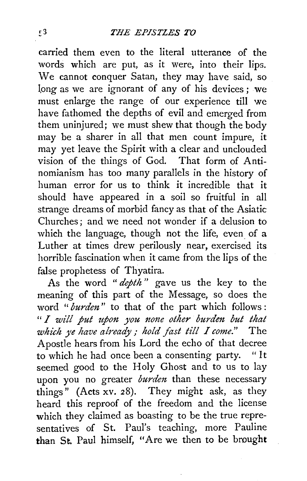carried them even to the literal utterance of the words which are put, as it were, into their lips. We cannot conquer Satan, they may have said, so long as we are ignorant of any of his devices; we must enlarge the range of our experience till we have fathomed the depths of evil and emerged from them uninjured; we must shew that though the body may be a sharer in all that men count impure, it may yet leave the Spirit with a clear and unclouded vision of the things of God. That form of Antinomianism has too many parallels in the history of human error for us to think it incredible that it should have appeared in a soil so fruitful in all strange dreams of morbid fancy as that of the Asiatic Churches ; and we need not wonder if a delusion to which the language, though not the life, even of a Luther at times drew perilously near, exercised its horrible fascination when it came from the lips of the false prophetess of Thyatira.

As the word " *depth* " gave us the key to the meaning of this part of the Message, so does the word "*burden*" to that of the part which follows: " *I will put zpon you none other burden but that which )'e have already; hold fast till I come."* The Apostle hears from his Lord the echo of that decree to which he had once been a consenting party. " It seemed good to the Holy Ghost and to us to lay upon you no greater *burden* than these necessary things" (Acts xv. 28). They might ask, as they heard this reproof of the freedom and the license which they claimed as boasting to be the true representatives of St. Paul's teaching, more Pauline than St. Paul himself, "Are we then to be brought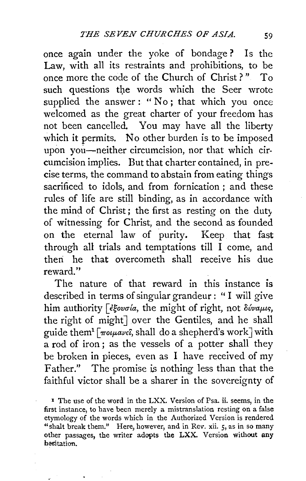once again under the yoke of bondage ? Is the Law, with all its restraints and prohibitions, to be once more the code of the Church of Christ ? " To such questions the words which the Seer wrote supplied the answer : "No; that which you once welcomed as the great charter of your freedom has not been cancelled. You may have all the liberty which it permits. No other burden is to be imposed upon you-neither circumcision, nor that which circumcision implies. But that charter contained, in precise terms, the command to abstain from eating things sacrificed to idols, and from fornication ; and these rules of life are still binding, as in accordance with the mind of Christ; the first as resting on the duty of witnessing for Christ, and the second as founded on the eternal law of purity. Keep that fast through all trials and temptations till I come, and theri he that overcometh shall receive his due reward."

The nature of that reward in this instance is described in terms of singuiar grandeur : " I will give him authority *[ <i>e*govola, the might of right, not  $\delta \omega \omega \mu s$ , the right of might] over the Gentiles, and he shall guide them<sup>1</sup>  $\lceil \frac{\pi o \mu a v \epsilon \hat{\iota}}{n} \rceil$ , shall do a shepherd's work with a rod of iron ; as the vessels of a potter shall they be broken in pieces, even as I have received of my Father." The promise is nothing less than that the faithful victor shall be a sharer in the sovereignty of

I The use of the word in the LXX. Version of Psa. ii. seems, in the first instance, to have been merely a mistranslation resting on a false etymology of the words which in the Authorized Version is rendered "shalt break them." Here, however, and in Rev. xii. *5,* as in so many other passages, the writer adopts the LXX. Version without any hesitation.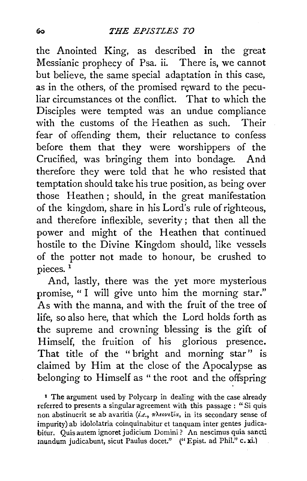the Anointed King, as described in the great Messianic prophecy of Psa. ii. There is, we cannot but believe, the same special adaptation in this case, as in the others, of the promised reward to the peculiar circumstances ot the conflict. That to which the Disciples were tempted was an undue compliance with the customs of the Heathen as such. Their fear of offending them, their reluctance to confess before them that they were worshippers of the Crucified, was bringing them into bondage. And therefore they were told that he who resisted that temptation should take his true position, as being over those Heathen ; should, in the great manifestation of the kingdom, share in his Lord's rule of righteous, and therefore inflexible, severity ; that then all the power and might of the Heathen that continued hostile to the Divine Kingdom should, like vessels of the potter not made to honour, be crushed to pieces.<sup>1</sup>

And, lastly, there was the yet more mysterious promise, "I will give unto him the morning star." As with the manna, and with the fruit of the tree of life, so also here, that which the Lord holds forth as the supreme and crowning blessing is the gift of Himself, the fruition of his glorious presence. That title of the " bright and morning star" is claimed by Him at the close of the Apocalypse as belonging to Himself as " the root and the offspring

<sup>1</sup> The argument used by Polycarp in dealing with the case already referred to presents a singular agreement with this passage : "Si quis non abstinuerit se ab avaritia (i.e., πλεονεξία, in its secondary sense of impurity) ab idololatria coinquinabitur et tanquam inter gentes judicabifur. Quis autem ignoret judicium Domini ? An nescimus quia sancti mundum judicabunt, sicut Paulus docet." (" Epist. ad Phil." c. xi.)